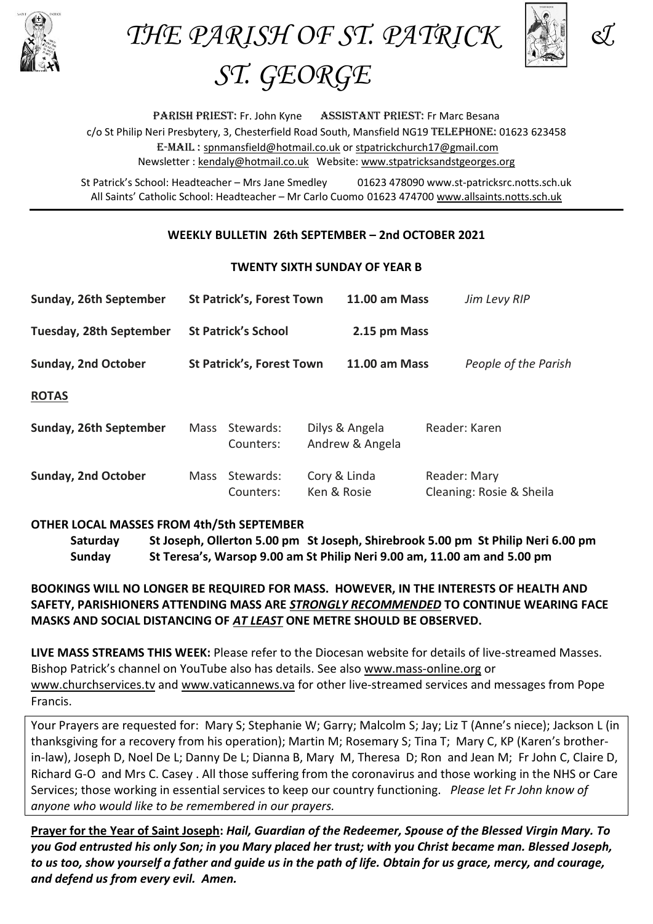

THE PARISH OF ST. PATRICK &



*ST. GEORGE*

PARISH PRIEST: Fr. John Kyne ASSISTANT PRIEST: Fr Marc Besana c/o St Philip Neri Presbytery, 3, Chesterfield Road South, Mansfield NG19 TELEPHONE: 01623 623458 E-Mail : [spnmansfield@hotmail.co.uk](mailto:spnmansfield@hotmail.co.uk) or [stpatrickchurch17@gmail.com](mailto:stpatrickchurch17@gmail.com) Newsletter [: kendaly@hotmail.co.uk](mailto:kendaly@hotmail.co.uk) Website: [www.stpatricksandstgeorges.org](http://www.stpatricksandstgeorges.org/)

St Patrick's School: Headteacher – Mrs Jane Smedley 01623 478090 www.st-patricksrc.notts.sch.uk All Saints' Catholic School: Headteacher – Mr Carlo Cuomo 01623 474700 [www.allsaints.notts.sch.uk](http://www.allsaints.notts.sch.uk/)

### **WEEKLY BULLETIN 26th SEPTEMBER – 2nd OCTOBER 2021**

#### **TWENTY SIXTH SUNDAY OF YEAR B**

| Sunday, 26th September     | <b>St Patrick's, Forest Town</b> |                        |                                   | <b>11.00 am Mass</b> |               | Jim Levy RIP             |
|----------------------------|----------------------------------|------------------------|-----------------------------------|----------------------|---------------|--------------------------|
| Tuesday, 28th September    | <b>St Patrick's School</b>       |                        |                                   | 2.15 pm Mass         |               |                          |
| <b>Sunday, 2nd October</b> | <b>St Patrick's, Forest Town</b> |                        |                                   | <b>11.00 am Mass</b> |               | People of the Parish     |
| <b>ROTAS</b>               |                                  |                        |                                   |                      |               |                          |
| Sunday, 26th September     | <b>Mass</b>                      | Stewards:<br>Counters: | Dilys & Angela<br>Andrew & Angela |                      | Reader: Karen |                          |
| <b>Sunday, 2nd October</b> | Mass                             | Stewards:<br>Counters: | Cory & Linda<br>Ken & Rosie       |                      | Reader: Mary  | Cleaning: Rosie & Sheila |

### **OTHER LOCAL MASSES FROM 4th/5th SEPTEMBER**

**Saturday St Joseph, Ollerton 5.00 pm St Joseph, Shirebrook 5.00 pm St Philip Neri 6.00 pm Sunday St Teresa's, Warsop 9.00 am St Philip Neri 9.00 am, 11.00 am and 5.00 pm**

# **BOOKINGS WILL NO LONGER BE REQUIRED FOR MASS. HOWEVER, IN THE INTERESTS OF HEALTH AND SAFETY, PARISHIONERS ATTENDING MASS ARE** *STRONGLY RECOMMENDED* **TO CONTINUE WEARING FACE MASKS AND SOCIAL DISTANCING OF** *AT LEAST* **ONE METRE SHOULD BE OBSERVED.**

**LIVE MASS STREAMS THIS WEEK:** Please refer to the Diocesan website for details of live-streamed Masses. Bishop Patrick's channel on YouTube also has details. See also [www.mass-online.org](http://www.mass-online.org/) or [www.churchservices.tv](http://www.churchservices.tv/) and [www.vaticannews.va](http://www.vaticannews.va/) for other live-streamed services and messages from Pope Francis.

Your Prayers are requested for: Mary S; Stephanie W; Garry; Malcolm S; Jay; Liz T (Anne's niece); Jackson L (in thanksgiving for a recovery from his operation); Martin M; Rosemary S; Tina T; Mary C, KP (Karen's brotherin-law), Joseph D, Noel De L; Danny De L; Dianna B, Mary M, Theresa D; Ron and Jean M; Fr John C, Claire D, Richard G-O and Mrs C. Casey . All those suffering from the coronavirus and those working in the NHS or Care Services; those working in essential services to keep our country functioning. *Please let Fr John know of anyone who would like to be remembered in our prayers.*

**Prayer for the Year of Saint Joseph:** *Hail, Guardian of the Redeemer, Spouse of the Blessed Virgin Mary. To you God entrusted his only Son; in you Mary placed her trust; with you Christ became man. Blessed Joseph, to us too, show yourself a father and guide us in the path of life. Obtain for us grace, mercy, and courage, and defend us from every evil. Amen.*